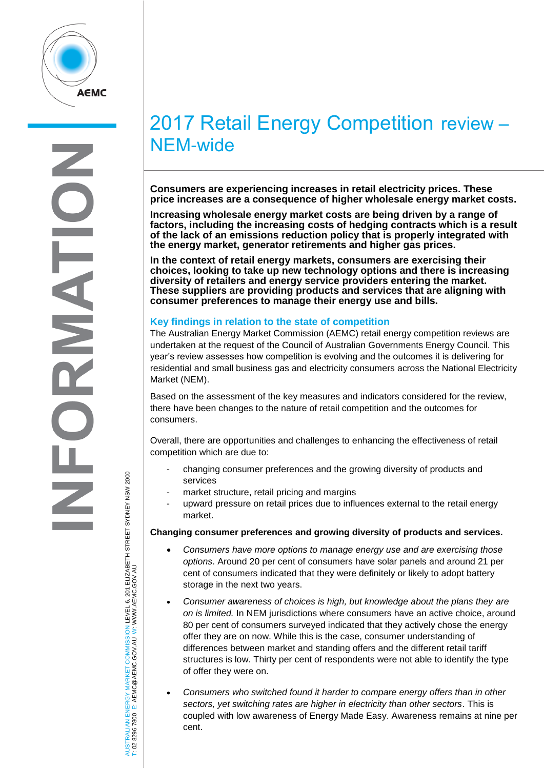

# 2017 Retail Energy Competition review – NEM-wide

**Consumers are experiencing increases in retail electricity prices. These price increases are a consequence of higher wholesale energy market costs.** 

**Increasing wholesale energy market costs are being driven by a range of factors, including the increasing costs of hedging contracts which is a result of the lack of an emissions reduction policy that is properly integrated with the energy market, generator retirements and higher gas prices.**

**In the context of retail energy markets, consumers are exercising their choices, looking to take up new technology options and there is increasing diversity of retailers and energy service providers entering the market. These suppliers are providing products and services that are aligning with consumer preferences to manage their energy use and bills.**

# **Key findings in relation to the state of competition**

The Australian Energy Market Commission (AEMC) retail energy competition reviews are undertaken at the request of the Council of Australian Governments Energy Council. This year's review assesses how competition is evolving and the outcomes it is delivering for residential and small business gas and electricity consumers across the National Electricity Market (NEM).

Based on the assessment of the key measures and indicators considered for the review, there have been changes to the nature of retail competition and the outcomes for consumers.

Overall, there are opportunities and challenges to enhancing the effectiveness of retail competition which are due to:

- changing consumer preferences and the growing diversity of products and services
- market structure, retail pricing and margins
- upward pressure on retail prices due to influences external to the retail energy market.

### **Changing consumer preferences and growing diversity of products and services.**

- *Consumers have more options to manage energy use and are exercising those options*. Around 20 per cent of consumers have solar panels and around 21 per cent of consumers indicated that they were definitely or likely to adopt battery storage in the next two years.
- *Consumer awareness of choices is high, but knowledge about the plans they are on is limited.* In NEM jurisdictions where consumers have an active choice, around 80 per cent of consumers surveyed indicated that they actively chose the energy offer they are on now. While this is the case, consumer understanding of differences between market and standing offers and the different retail tariff structures is low. Thirty per cent of respondents were not able to identify the type of offer they were on.
- *Consumers who switched found it harder to compare energy offers than in other sectors, yet switching rates are higher in electricity than other sectors*. This is coupled with low awareness of Energy Made Easy. Awareness remains at nine per cent.

AUSTRALIAN ENERGY MARKET COMMISSION LEVEL 6, 201 ELIZABETH STREET SYDNEY NSW 2000 USTRALIAN ENERGY MARKET COMMISSION LEVEL 6, 201 ELIZABETH STREET SYDNEY NSW 2000<br>02 8296 7800 E: AEMC@AEMC.GOV.AU W: WWW.AEMC.GOV.AU W: WWW.AEMC.GOV.AU T: 02 8296 7800 E: AEMC@AEMC.GOV.AU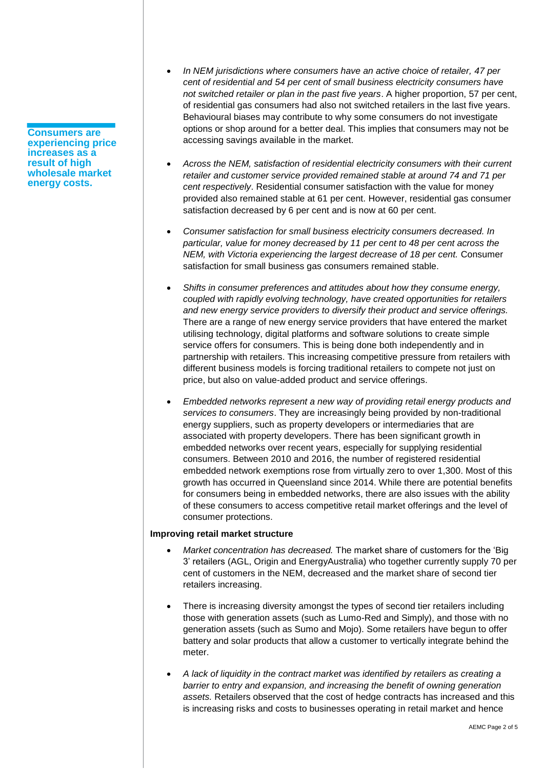**Consumers are experiencing price increases as a result of high wholesale market energy costs.** 

- *In NEM jurisdictions where consumers have an active choice of retailer, 47 per cent of residential and 54 per cent of small business electricity consumers have not switched retailer or plan in the past five years*. A higher proportion, 57 per cent, of residential gas consumers had also not switched retailers in the last five years. Behavioural biases may contribute to why some consumers do not investigate options or shop around for a better deal. This implies that consumers may not be accessing savings available in the market.
- *Across the NEM, satisfaction of residential electricity consumers with their current retailer and customer service provided remained stable at around 74 and 71 per cent respectively*. Residential consumer satisfaction with the value for money provided also remained stable at 61 per cent. However, residential gas consumer satisfaction decreased by 6 per cent and is now at 60 per cent.
- *Consumer satisfaction for small business electricity consumers decreased. In particular, value for money decreased by 11 per cent to 48 per cent across the NEM, with Victoria experiencing the largest decrease of 18 per cent.* Consumer satisfaction for small business gas consumers remained stable.
- *Shifts in consumer preferences and attitudes about how they consume energy, coupled with rapidly evolving technology, have created opportunities for retailers and new energy service providers to diversify their product and service offerings.* There are a range of new energy service providers that have entered the market utilising technology, digital platforms and software solutions to create simple service offers for consumers. This is being done both independently and in partnership with retailers. This increasing competitive pressure from retailers with different business models is forcing traditional retailers to compete not just on price, but also on value-added product and service offerings.
- *Embedded networks represent a new way of providing retail energy products and services to consumers*. They are increasingly being provided by non-traditional energy suppliers, such as property developers or intermediaries that are associated with property developers. There has been significant growth in embedded networks over recent years, especially for supplying residential consumers. Between 2010 and 2016, the number of registered residential embedded network exemptions rose from virtually zero to over 1,300. Most of this growth has occurred in Queensland since 2014. While there are potential benefits for consumers being in embedded networks, there are also issues with the ability of these consumers to access competitive retail market offerings and the level of consumer protections.

### **Improving retail market structure**

- *Market concentration has decreased.* The market share of customers for the 'Big 3' retailers (AGL, Origin and EnergyAustralia) who together currently supply 70 per cent of customers in the NEM, decreased and the market share of second tier retailers increasing.
- There is increasing diversity amongst the types of second tier retailers including those with generation assets (such as Lumo-Red and Simply), and those with no generation assets (such as Sumo and Mojo). Some retailers have begun to offer battery and solar products that allow a customer to vertically integrate behind the meter.
- *A lack of liquidity in the contract market was identified by retailers as creating a barrier to entry and expansion, and increasing the benefit of owning generation assets.* Retailers observed that the cost of hedge contracts has increased and this is increasing risks and costs to businesses operating in retail market and hence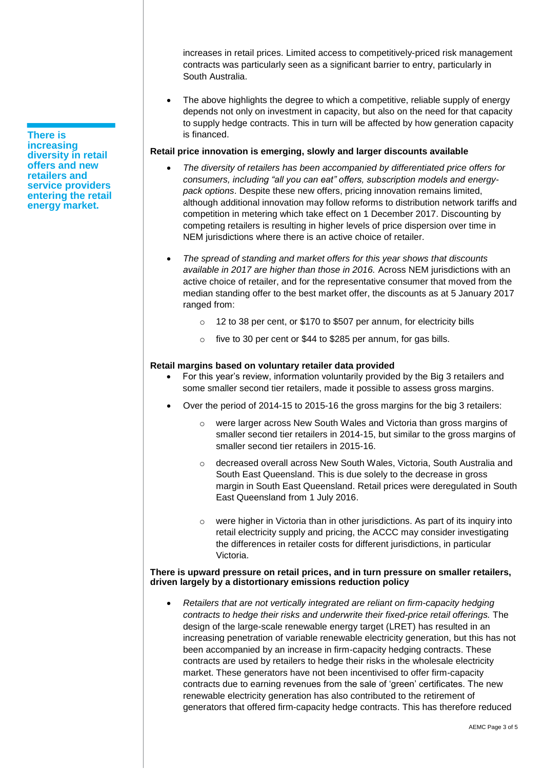increases in retail prices. Limited access to competitively-priced risk management contracts was particularly seen as a significant barrier to entry, particularly in South Australia.

 The above highlights the degree to which a competitive, reliable supply of energy depends not only on investment in capacity, but also on the need for that capacity to supply hedge contracts. This in turn will be affected by how generation capacity is financed.

# **Retail price innovation is emerging, slowly and larger discounts available**

- *The diversity of retailers has been accompanied by differentiated price offers for consumers, including "all you can eat" offers, subscription models and energypack options*. Despite these new offers, pricing innovation remains limited, although additional innovation may follow reforms to distribution network tariffs and competition in metering which take effect on 1 December 2017. Discounting by competing retailers is resulting in higher levels of price dispersion over time in NEM jurisdictions where there is an active choice of retailer.
- *The spread of standing and market offers for this year shows that discounts available in 2017 are higher than those in 2016.* Across NEM jurisdictions with an active choice of retailer, and for the representative consumer that moved from the median standing offer to the best market offer, the discounts as at 5 January 2017 ranged from:
	- o 12 to 38 per cent, or \$170 to \$507 per annum, for electricity bills
	- o five to 30 per cent or \$44 to \$285 per annum, for gas bills.

# **Retail margins based on voluntary retailer data provided**

- For this year's review, information voluntarily provided by the Big 3 retailers and some smaller second tier retailers, made it possible to assess gross margins.
- Over the period of 2014-15 to 2015-16 the gross margins for the big 3 retailers:
	- were larger across New South Wales and Victoria than gross margins of smaller second tier retailers in 2014-15, but similar to the gross margins of smaller second tier retailers in 2015-16.
	- o decreased overall across New South Wales, Victoria, South Australia and South East Queensland. This is due solely to the decrease in gross margin in South East Queensland. Retail prices were deregulated in South East Queensland from 1 July 2016.
	- o were higher in Victoria than in other jurisdictions. As part of its inquiry into retail electricity supply and pricing, the ACCC may consider investigating the differences in retailer costs for different jurisdictions, in particular Victoria.

#### **There is upward pressure on retail prices, and in turn pressure on smaller retailers, driven largely by a distortionary emissions reduction policy**

 *Retailers that are not vertically integrated are reliant on firm-capacity hedging contracts to hedge their risks and underwrite their fixed-price retail offerings.* The design of the large-scale renewable energy target (LRET) has resulted in an increasing penetration of variable renewable electricity generation, but this has not been accompanied by an increase in firm-capacity hedging contracts. These contracts are used by retailers to hedge their risks in the wholesale electricity market. These generators have not been incentivised to offer firm-capacity contracts due to earning revenues from the sale of 'green' certificates. The new renewable electricity generation has also contributed to the retirement of generators that offered firm-capacity hedge contracts. This has therefore reduced

**There is increasing diversity in retail offers and new retailers and service providers entering the retail energy market.**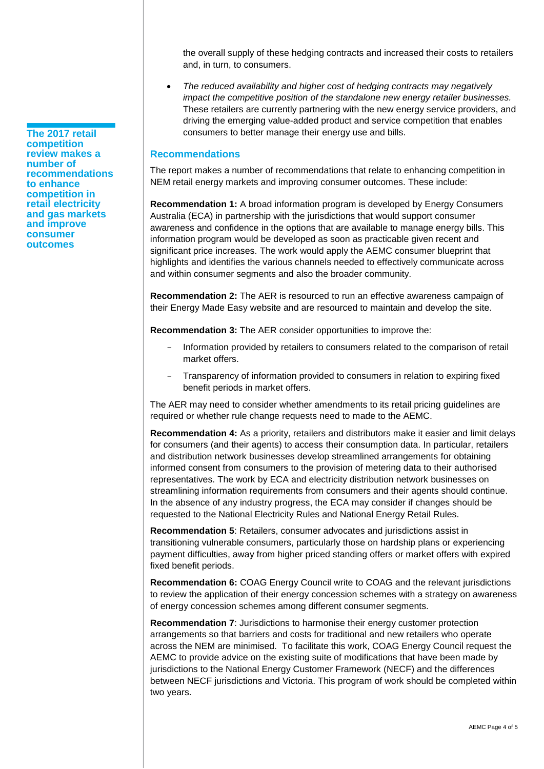the overall supply of these hedging contracts and increased their costs to retailers and, in turn, to consumers.

 *The reduced availability and higher cost of hedging contracts may negatively impact the competitive position of the standalone new energy retailer businesses.* These retailers are currently partnering with the new energy service providers, and driving the emerging value-added product and service competition that enables consumers to better manage their energy use and bills.

## **Recommendations**

The report makes a number of recommendations that relate to enhancing competition in NEM retail energy markets and improving consumer outcomes. These include:

**Recommendation 1:** A broad information program is developed by Energy Consumers Australia (ECA) in partnership with the jurisdictions that would support consumer awareness and confidence in the options that are available to manage energy bills. This information program would be developed as soon as practicable given recent and significant price increases. The work would apply the AEMC consumer blueprint that highlights and identifies the various channels needed to effectively communicate across and within consumer segments and also the broader community.

**Recommendation 2:** The AER is resourced to run an effective awareness campaign of their Energy Made Easy website and are resourced to maintain and develop the site.

**Recommendation 3:** The AER consider opportunities to improve the:

- Information provided by retailers to consumers related to the comparison of retail market offers.
- Transparency of information provided to consumers in relation to expiring fixed benefit periods in market offers.

The AER may need to consider whether amendments to its retail pricing guidelines are required or whether rule change requests need to made to the AEMC.

**Recommendation 4:** As a priority, retailers and distributors make it easier and limit delays for consumers (and their agents) to access their consumption data. In particular, retailers and distribution network businesses develop streamlined arrangements for obtaining informed consent from consumers to the provision of metering data to their authorised representatives. The work by ECA and electricity distribution network businesses on streamlining information requirements from consumers and their agents should continue. In the absence of any industry progress, the ECA may consider if changes should be requested to the National Electricity Rules and National Energy Retail Rules.

**Recommendation 5**: Retailers, consumer advocates and jurisdictions assist in transitioning vulnerable consumers, particularly those on hardship plans or experiencing payment difficulties, away from higher priced standing offers or market offers with expired fixed benefit periods.

**Recommendation 6:** COAG Energy Council write to COAG and the relevant jurisdictions to review the application of their energy concession schemes with a strategy on awareness of energy concession schemes among different consumer segments.

**Recommendation 7**: Jurisdictions to harmonise their energy customer protection arrangements so that barriers and costs for traditional and new retailers who operate across the NEM are minimised. To facilitate this work, COAG Energy Council request the AEMC to provide advice on the existing suite of modifications that have been made by jurisdictions to the National Energy Customer Framework (NECF) and the differences between NECF jurisdictions and Victoria. This program of work should be completed within two years.

**The 2017 retail competition review makes a number of recommendations to enhance competition in retail electricity and gas markets and improve consumer outcomes**